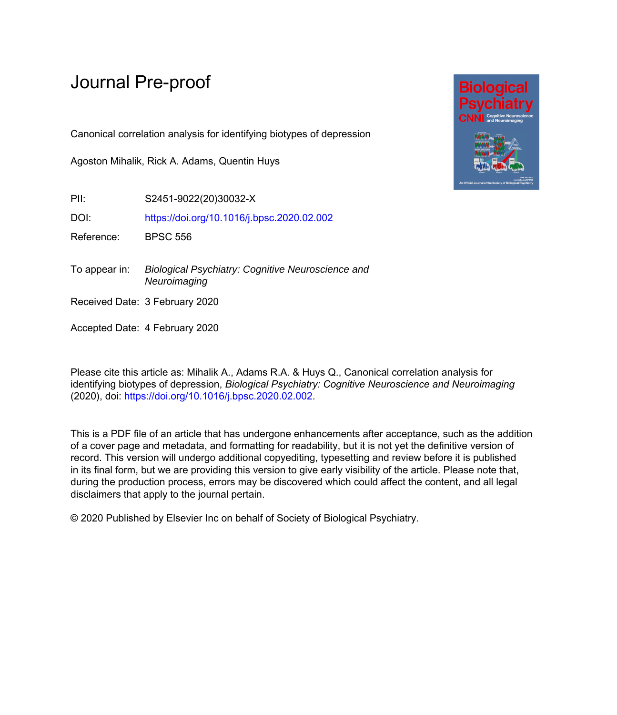# Journal Pre-proof

Canonical correlation analysis for identifying biotypes of depression

Agoston Mihalik, Rick A. Adams, Quentin Huys

PII: S2451-9022(20)30032-X

DOI: <https://doi.org/10.1016/j.bpsc.2020.02.002>

Reference: BPSC 556

To appear in: Biological Psychiatry: Cognitive Neuroscience and **Neuroimaging** 

Received Date: 3 February 2020

Accepted Date: 4 February 2020

Please cite this article as: Mihalik A., Adams R.A. & Huys Q., Canonical correlation analysis for identifying biotypes of depression, *Biological Psychiatry: Cognitive Neuroscience and Neuroimaging* (2020), doi: [https://doi.org/10.1016/j.bpsc.2020.02.002.](https://doi.org/10.1016/j.bpsc.2020.02.002)

This is a PDF file of an article that has undergone enhancements after acceptance, such as the addition of a cover page and metadata, and formatting for readability, but it is not yet the definitive version of record. This version will undergo additional copyediting, typesetting and review before it is published in its final form, but we are providing this version to give early visibility of the article. Please note that, during the production process, errors may be discovered which could affect the content, and all legal disclaimers that apply to the journal pertain.

© 2020 Published by Elsevier Inc on behalf of Society of Biological Psychiatry.

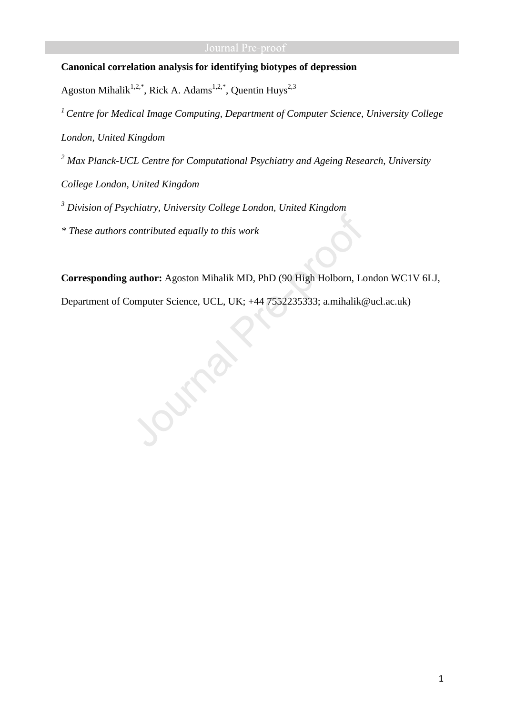## **Canonical correlation analysis for identifying biotypes of depression**

Agoston Mihalik<sup>1,2,\*</sup>, Rick A. Adams<sup>1,2,\*</sup>, Quentin Huys<sup>2,3</sup>

*<sup>1</sup>Centre for Medical Image Computing, Department of Computer Science, University College London, United Kingdom* 

*2 Max Planck-UCL Centre for Computational Psychiatry and Ageing Research, University College London, United Kingdom* 

*3 Division of Psychiatry, University College London, United Kingdom* 

*\* These authors contributed equally to this work* 

**Corresponding author:** Agoston Mihalik MD, PhD (90 High Holborn, London WC1V 6LJ,

Department of Computer Science, UCL, UK; +44 7552235333; a.mihalik@ucl.ac.uk)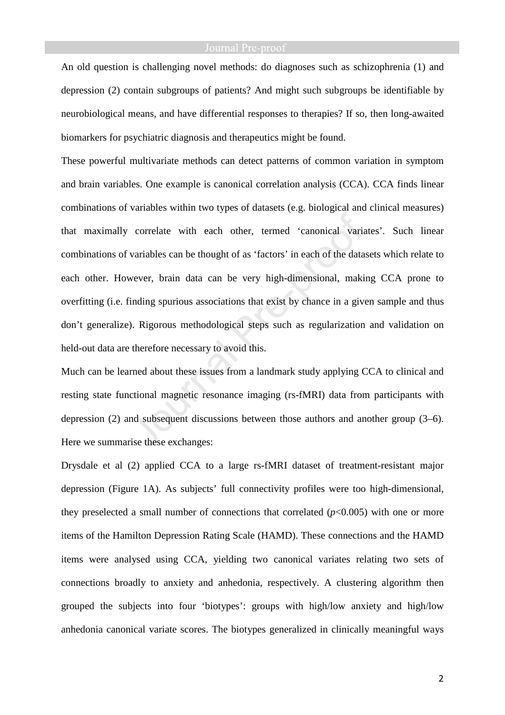An old question is challenging novel methods: do diagnoses such as schizophrenia (1) and depression (2) contain subgroups of patients? And might such subgroups be identifiable by neurobiological means, and have differential responses to therapies? If so, then long-awaited biomarkers for psychiatric diagnosis and therapeutics might be found.

These powerful multivariate methods can detect patterns of common variation in symptom and brain variables. One example is canonical correlation analysis (CCA). CCA finds linear combinations of variables within two types of datasets (e.g. biological and clinical measures) that maximally correlate with each other, termed 'canonical variates'. Such linear combinations of variables can be thought of as 'factors' in each of the datasets which relate to each other. However, brain data can be very high-dimensional, making CCA prone to overfitting (i.e. finding spurious associations that exist by chance in a given sample and thus don't generalize). Rigorous methodological steps such as regularization and validation on held-out data are therefore necessary to avoid this.

Much can be learned about these issues from a landmark study applying CCA to clinical and resting state functional magnetic resonance imaging (rs-fMRI) data from participants with depression (2) and subsequent discussions between those authors and another group (3–6). Here we summarise these exchanges:

Drysdale et al (2) applied CCA to a large rs-fMRI dataset of treatment-resistant major depression (Figure 1A). As subjects' full connectivity profiles were too high-dimensional, they preselected a small number of connections that correlated (*p*<0.005) with one or more items of the Hamilton Depression Rating Scale (HAMD). These connections and the HAMD items were analysed using CCA, yielding two canonical variates relating two sets of connections broadly to anxiety and anhedonia, respectively. A clustering algorithm then grouped the subjects into four 'biotypes': groups with high/low anxiety and high/low anhedonia canonical variate scores. The biotypes generalized in clinically meaningful ways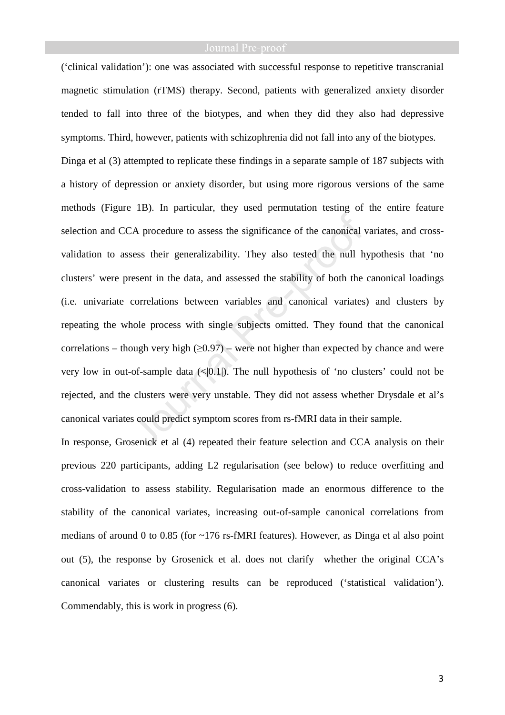('clinical validation'): one was associated with successful response to repetitive transcranial magnetic stimulation (rTMS) therapy. Second, patients with generalized anxiety disorder tended to fall into three of the biotypes, and when they did they also had depressive symptoms. Third, however, patients with schizophrenia did not fall into any of the biotypes. Dinga et al (3) attempted to replicate these findings in a separate sample of 187 subjects with a history of depression or anxiety disorder, but using more rigorous versions of the same methods (Figure 1B). In particular, they used permutation testing of the entire feature selection and CCA procedure to assess the significance of the canonical variates, and crossvalidation to assess their generalizability. They also tested the null hypothesis that 'no clusters' were present in the data, and assessed the stability of both the canonical loadings (i.e. univariate correlations between variables and canonical variates) and clusters by repeating the whole process with single subjects omitted. They found that the canonical correlations – though very high  $(\geq 0.97)$  – were not higher than expected by chance and were very low in out-of-sample data  $\left(\frac{1}{0.1}\right)$ . The null hypothesis of 'no clusters' could not be rejected, and the clusters were very unstable. They did not assess whether Drysdale et al's canonical variates could predict symptom scores from rs-fMRI data in their sample.

In response, Grosenick et al (4) repeated their feature selection and CCA analysis on their previous 220 participants, adding L2 regularisation (see below) to reduce overfitting and cross-validation to assess stability. Regularisation made an enormous difference to the stability of the canonical variates, increasing out-of-sample canonical correlations from medians of around 0 to 0.85 (for ~176 rs-fMRI features). However, as Dinga et al also point out (5), the response by Grosenick et al. does not clarify whether the original CCA's canonical variates or clustering results can be reproduced ('statistical validation'). Commendably, this is work in progress (6).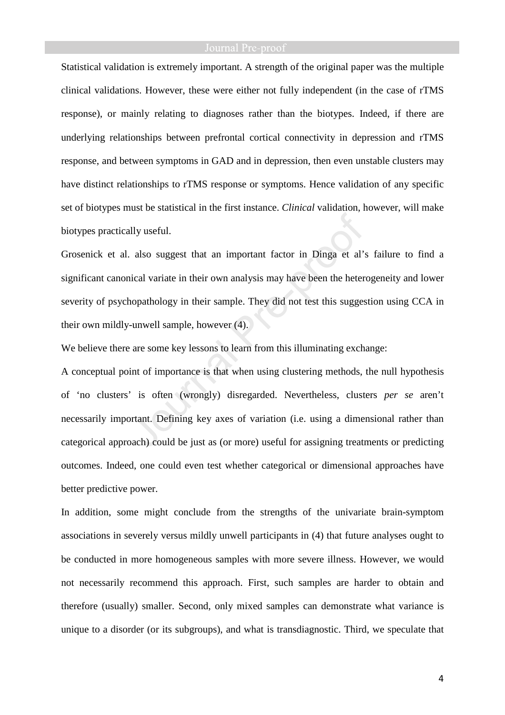Statistical validation is extremely important. A strength of the original paper was the multiple clinical validations. However, these were either not fully independent (in the case of rTMS response), or mainly relating to diagnoses rather than the biotypes. Indeed, if there are underlying relationships between prefrontal cortical connectivity in depression and rTMS response, and between symptoms in GAD and in depression, then even unstable clusters may have distinct relationships to rTMS response or symptoms. Hence validation of any specific set of biotypes must be statistical in the first instance. *Clinical* validation, however, will make biotypes practically useful.

Grosenick et al. also suggest that an important factor in Dinga et al's failure to find a significant canonical variate in their own analysis may have been the heterogeneity and lower severity of psychopathology in their sample. They did not test this suggestion using CCA in their own mildly-unwell sample, however (4).

We believe there are some key lessons to learn from this illuminating exchange:

A conceptual point of importance is that when using clustering methods, the null hypothesis of 'no clusters' is often (wrongly) disregarded. Nevertheless, clusters *per se* aren't necessarily important. Defining key axes of variation (i.e. using a dimensional rather than categorical approach) could be just as (or more) useful for assigning treatments or predicting outcomes. Indeed, one could even test whether categorical or dimensional approaches have better predictive power.

In addition, some might conclude from the strengths of the univariate brain-symptom associations in severely versus mildly unwell participants in (4) that future analyses ought to be conducted in more homogeneous samples with more severe illness. However, we would not necessarily recommend this approach. First, such samples are harder to obtain and therefore (usually) smaller. Second, only mixed samples can demonstrate what variance is unique to a disorder (or its subgroups), and what is transdiagnostic. Third, we speculate that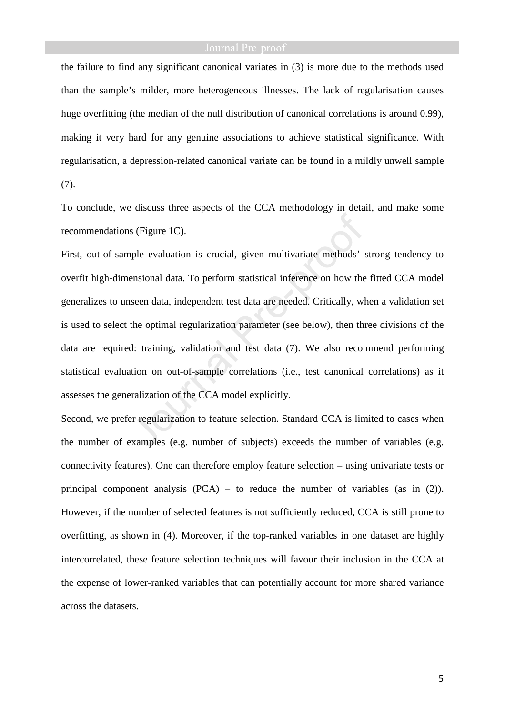the failure to find any significant canonical variates in (3) is more due to the methods used than the sample's milder, more heterogeneous illnesses. The lack of regularisation causes huge overfitting (the median of the null distribution of canonical correlations is around 0.99), making it very hard for any genuine associations to achieve statistical significance. With regularisation, a depression-related canonical variate can be found in a mildly unwell sample (7).

To conclude, we discuss three aspects of the CCA methodology in detail, and make some recommendations (Figure 1C).

First, out-of-sample evaluation is crucial, given multivariate methods' strong tendency to overfit high-dimensional data. To perform statistical inference on how the fitted CCA model generalizes to unseen data, independent test data are needed. Critically, when a validation set is used to select the optimal regularization parameter (see below), then three divisions of the data are required: training, validation and test data (7). We also recommend performing statistical evaluation on out-of-sample correlations (i.e., test canonical correlations) as it assesses the generalization of the CCA model explicitly.

Second, we prefer regularization to feature selection. Standard CCA is limited to cases when the number of examples (e.g. number of subjects) exceeds the number of variables (e.g. connectivity features). One can therefore employ feature selection – using univariate tests or principal component analysis (PCA) – to reduce the number of variables (as in (2)). However, if the number of selected features is not sufficiently reduced, CCA is still prone to overfitting, as shown in (4). Moreover, if the top-ranked variables in one dataset are highly intercorrelated, these feature selection techniques will favour their inclusion in the CCA at the expense of lower-ranked variables that can potentially account for more shared variance across the datasets.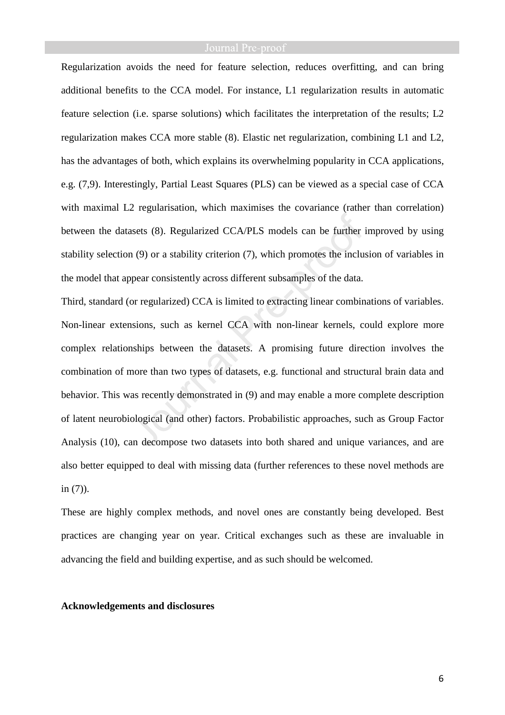Regularization avoids the need for feature selection, reduces overfitting, and can bring additional benefits to the CCA model. For instance, L1 regularization results in automatic feature selection (i.e. sparse solutions) which facilitates the interpretation of the results; L2 regularization makes CCA more stable (8). Elastic net regularization, combining L1 and L2, has the advantages of both, which explains its overwhelming popularity in CCA applications, e.g. (7,9). Interestingly, Partial Least Squares (PLS) can be viewed as a special case of CCA with maximal L2 regularisation, which maximises the covariance (rather than correlation) between the datasets (8). Regularized CCA/PLS models can be further improved by using stability selection (9) or a stability criterion (7), which promotes the inclusion of variables in the model that appear consistently across different subsamples of the data.

Third, standard (or regularized) CCA is limited to extracting linear combinations of variables. Non-linear extensions, such as kernel CCA with non-linear kernels, could explore more complex relationships between the datasets. A promising future direction involves the combination of more than two types of datasets, e.g. functional and structural brain data and behavior. This was recently demonstrated in (9) and may enable a more complete description of latent neurobiological (and other) factors. Probabilistic approaches, such as Group Factor Analysis (10), can decompose two datasets into both shared and unique variances, and are also better equipped to deal with missing data (further references to these novel methods are in (7)).

These are highly complex methods, and novel ones are constantly being developed. Best practices are changing year on year. Critical exchanges such as these are invaluable in advancing the field and building expertise, and as such should be welcomed.

### **Acknowledgements and disclosures**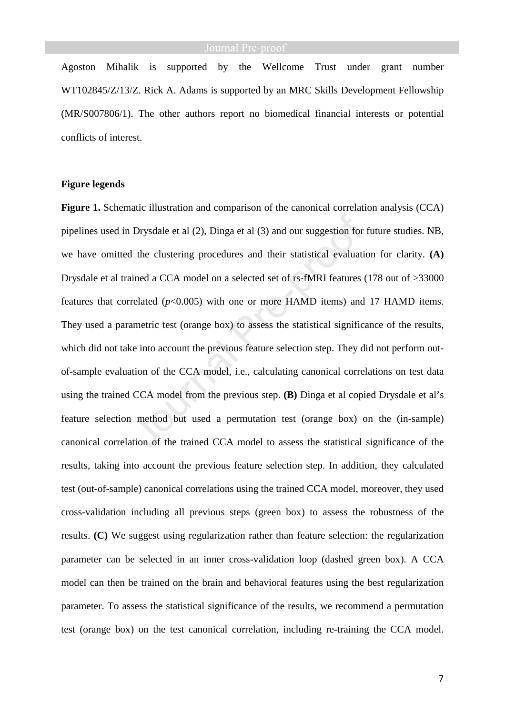Agoston Mihalik is supported by the Wellcome Trust under grant number WT102845/Z/13/Z. Rick A. Adams is supported by an MRC Skills Development Fellowship (MR/S007806/1). The other authors report no biomedical financial interests or potential conflicts of interest.

### **Figure legends**

**Figure 1.** Schematic illustration and comparison of the canonical correlation analysis (CCA) pipelines used in Drysdale et al (2), Dinga et al (3) and our suggestion for future studies. NB, we have omitted the clustering procedures and their statistical evaluation for clarity. **(A)**  Drysdale et al trained a CCA model on a selected set of rs-fMRI features (178 out of >33000 features that correlated (*p*<0.005) with one or more HAMD items) and 17 HAMD items. They used a parametric test (orange box) to assess the statistical significance of the results, which did not take into account the previous feature selection step. They did not perform outof-sample evaluation of the CCA model, i.e., calculating canonical correlations on test data using the trained CCA model from the previous step. **(B)** Dinga et al copied Drysdale et al's feature selection method but used a permutation test (orange box) on the (in-sample) canonical correlation of the trained CCA model to assess the statistical significance of the results, taking into account the previous feature selection step. In addition, they calculated test (out-of-sample) canonical correlations using the trained CCA model, moreover, they used cross-validation including all previous steps (green box) to assess the robustness of the results. **(C)** We suggest using regularization rather than feature selection: the regularization parameter can be selected in an inner cross-validation loop (dashed green box). A CCA model can then be trained on the brain and behavioral features using the best regularization parameter. To assess the statistical significance of the results, we recommend a permutation test (orange box) on the test canonical correlation, including re-training the CCA model.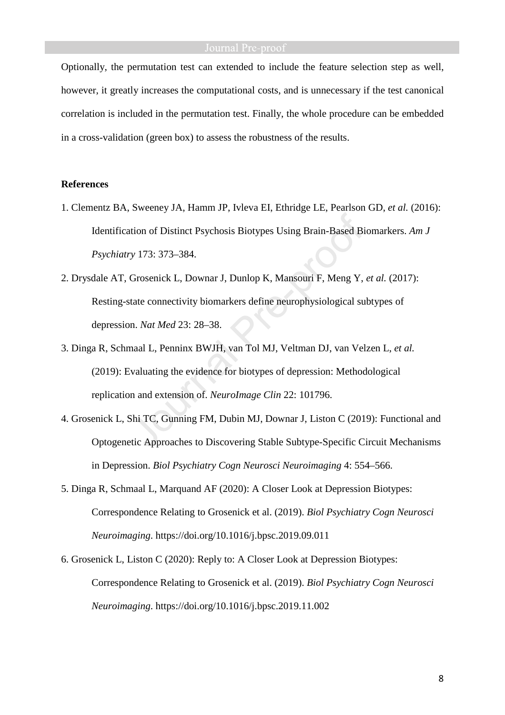Optionally, the permutation test can extended to include the feature selection step as well, however, it greatly increases the computational costs, and is unnecessary if the test canonical correlation is included in the permutation test. Finally, the whole procedure can be embedded in a cross-validation (green box) to assess the robustness of the results.

## **References**

- 1. Clementz BA, Sweeney JA, Hamm JP, Ivleva EI, Ethridge LE, Pearlson GD, *et al.* (2016): Identification of Distinct Psychosis Biotypes Using Brain-Based Biomarkers. *Am J Psychiatry* 173: 373–384.
- 2. Drysdale AT, Grosenick L, Downar J, Dunlop K, Mansouri F, Meng Y, *et al.* (2017): Resting-state connectivity biomarkers define neurophysiological subtypes of depression. *Nat Med* 23: 28–38.
- 3. Dinga R, Schmaal L, Penninx BWJH, van Tol MJ, Veltman DJ, van Velzen L, *et al.* (2019): Evaluating the evidence for biotypes of depression: Methodological replication and extension of. *NeuroImage Clin* 22: 101796.
- 4. Grosenick L, Shi TC, Gunning FM, Dubin MJ, Downar J, Liston C (2019): Functional and Optogenetic Approaches to Discovering Stable Subtype-Specific Circuit Mechanisms in Depression. *Biol Psychiatry Cogn Neurosci Neuroimaging* 4: 554–566.
- 5. Dinga R, Schmaal L, Marquand AF (2020): A Closer Look at Depression Biotypes: Correspondence Relating to Grosenick et al. (2019). *Biol Psychiatry Cogn Neurosci Neuroimaging*. https://doi.org/10.1016/j.bpsc.2019.09.011
- 6. Grosenick L, Liston C (2020): Reply to: A Closer Look at Depression Biotypes: Correspondence Relating to Grosenick et al. (2019). *Biol Psychiatry Cogn Neurosci Neuroimaging*. https://doi.org/10.1016/j.bpsc.2019.11.002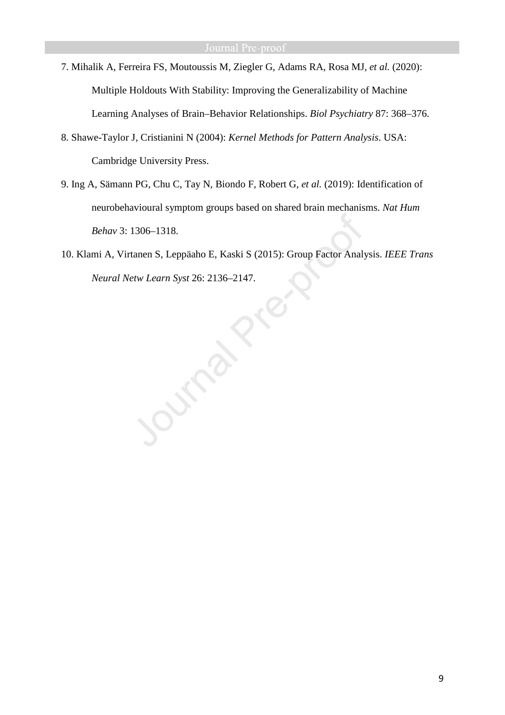- 7. Mihalik A, Ferreira FS, Moutoussis M, Ziegler G, Adams RA, Rosa MJ, *et al.* (2020): Multiple Holdouts With Stability: Improving the Generalizability of Machine Learning Analyses of Brain–Behavior Relationships. *Biol Psychiatry* 87: 368–376.
- 8. Shawe-Taylor J, Cristianini N (2004): *Kernel Methods for Pattern Analysis*. USA: Cambridge University Press.
- 9. Ing A, Sämann PG, Chu C, Tay N, Biondo F, Robert G, *et al.* (2019): Identification of neurobehavioural symptom groups based on shared brain mechanisms. *Nat Hum Behav* 3: 1306–1318.
- 10. Klami A, Virtanen S, Leppäaho E, Kaski S (2015): Group Factor Analysis. *IEEE Trans Neural Netw Learn Syst* 26: 2136–2147.